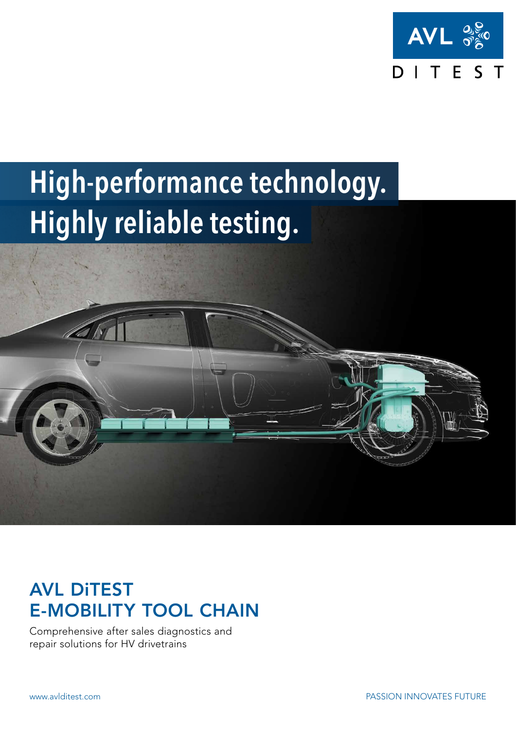

# High-performance technology. Highly reliable testing.



## AVL DiTEST E-MOBILITY TOOL CHAIN

Comprehensive after sales diagnostics and repair solutions for HV drivetrains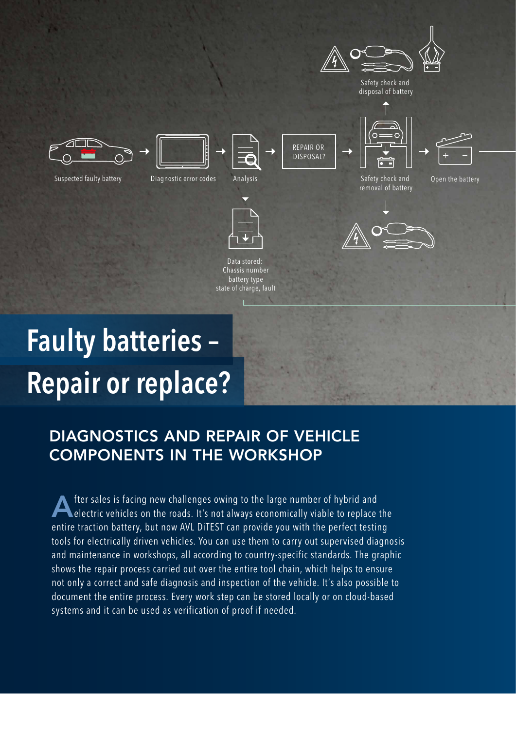

# Repair or replace? Faulty batteries –

## DIAGNOSTICS AND REPAIR OF VEHICLE COMPONENTS IN THE WORKSHOP

After sales is facing new challenges owing to the large number of hybrid and electric vehicles on the roads. It's not always economically viable to replace the entire traction battery, but now AVL DiTEST can provide you with the perfect testing tools for electrically driven vehicles. You can use them to carry out supervised diagnosis and maintenance in workshops, all according to country-specific standards. The graphic shows the repair process carried out over the entire tool chain, which helps to ensure not only a correct and safe diagnosis and inspection of the vehicle. It's also possible to document the entire process. Every work step can be stored locally or on cloud-based systems and it can be used as verification of proof if needed.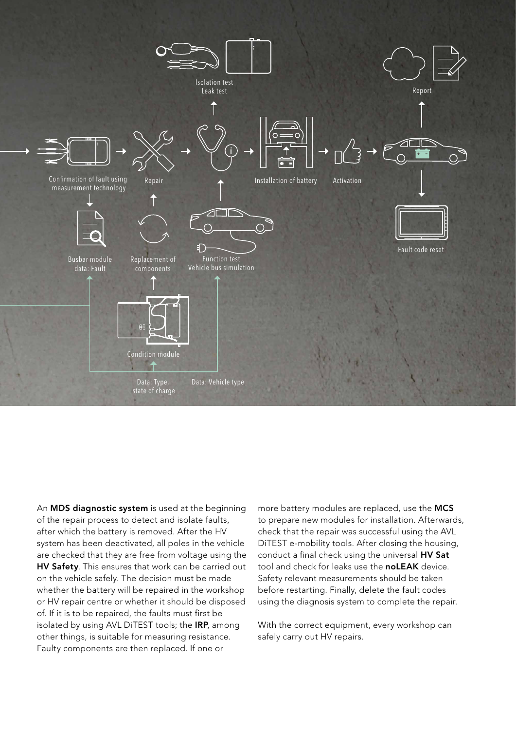

An **MDS diagnostic system** is used at the beginning of the repair process to detect and isolate faults, after which the battery is removed. After the HV system has been deactivated, all poles in the vehicle are checked that they are free from voltage using the **HV Safety**. This ensures that work can be carried out on the vehicle safely. The decision must be made whether the battery will be repaired in the workshop or HV repair centre or whether it should be disposed of. If it is to be repaired, the faults must first be isolated by using AVL DiTEST tools; the IRP, among other things, is suitable for measuring resistance. Faulty components are then replaced. If one or

more battery modules are replaced, use the MCS to prepare new modules for installation. Afterwards, check that the repair was successful using the AVL DiTEST e-mobility tools. After closing the housing, conduct a final check using the universal HV Sat tool and check for leaks use the **noLEAK** device. Safety relevant measurements should be taken before restarting. Finally, delete the fault codes using the diagnosis system to complete the repair.

With the correct equipment, every workshop can safely carry out HV repairs.